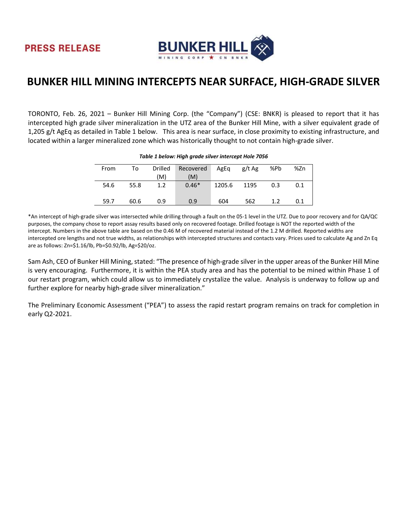

# BUNKER HILL MINING INTERCEPTS NEAR SURFACE, HIGH-GRADE SILVER

TORONTO, Feb. 26, 2021 – Bunker Hill Mining Corp. (the "Company") (CSE: BNKR) is pleased to report that it has intercepted high grade silver mineralization in the UTZ area of the Bunker Hill Mine, with a silver equivalent grade of 1,205 g/t AgEq as detailed in Table 1 below. This area is near surface, in close proximity to existing infrastructure, and located within a larger mineralized zone which was historically thought to not contain high-grade silver.

| From | To   | <b>Drilled</b><br>(M) | Recovered<br>(M) | AgEq   | g/t Ag | %Pb | %Zn |
|------|------|-----------------------|------------------|--------|--------|-----|-----|
| 54.6 | 55.8 | 1.2                   | $0.46*$          | 1205.6 | 1195   | 0.3 | 0.1 |
| 59.7 | 60.6 | 0.9                   | 0.9              | 604    | 562    | 1.2 | 0.1 |

#### Table 1 below: High grade silver intercept Hole 7056

\*An intercept of high-grade silver was intersected while drilling through a fault on the 05-1 level in the UTZ. Due to poor recovery and for QA/QC purposes, the company chose to report assay results based only on recovered footage. Drilled footage is NOT the reported width of the intercept. Numbers in the above table are based on the 0.46 M of recovered material instead of the 1.2 M drilled. Reported widths are intercepted ore lengths and not true widths, as relationships with intercepted structures and contacts vary. Prices used to calculate Ag and Zn Eq are as follows: Zn=\$1.16/lb, Pb=\$0.92/lb, Ag=\$20/oz.

Sam Ash, CEO of Bunker Hill Mining, stated: "The presence of high-grade silver in the upper areas of the Bunker Hill Mine is very encouraging. Furthermore, it is within the PEA study area and has the potential to be mined within Phase 1 of our restart program, which could allow us to immediately crystalize the value. Analysis is underway to follow up and further explore for nearby high-grade silver mineralization."

The Preliminary Economic Assessment ("PEA") to assess the rapid restart program remains on track for completion in early Q2-2021.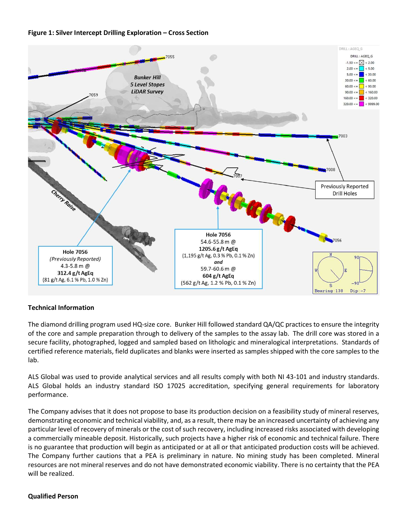### Figure 1: Silver Intercept Drilling Exploration – Cross Section



## Technical Information

The diamond drilling program used HQ-size core. Bunker Hill followed standard QA/QC practices to ensure the integrity of the core and sample preparation through to delivery of the samples to the assay lab. The drill core was stored in a secure facility, photographed, logged and sampled based on lithologic and mineralogical interpretations. Standards of certified reference materials, field duplicates and blanks were inserted as samples shipped with the core samples to the lab.

ALS Global was used to provide analytical services and all results comply with both NI 43-101 and industry standards. ALS Global holds an industry standard ISO 17025 accreditation, specifying general requirements for laboratory performance.

The Company advises that it does not propose to base its production decision on a feasibility study of mineral reserves, demonstrating economic and technical viability, and, as a result, there may be an increased uncertainty of achieving any particular level of recovery of minerals or the cost of such recovery, including increased risks associated with developing a commercially mineable deposit. Historically, such projects have a higher risk of economic and technical failure. There is no guarantee that production will begin as anticipated or at all or that anticipated production costs will be achieved. The Company further cautions that a PEA is preliminary in nature. No mining study has been completed. Mineral resources are not mineral reserves and do not have demonstrated economic viability. There is no certainty that the PEA will be realized.

#### Qualified Person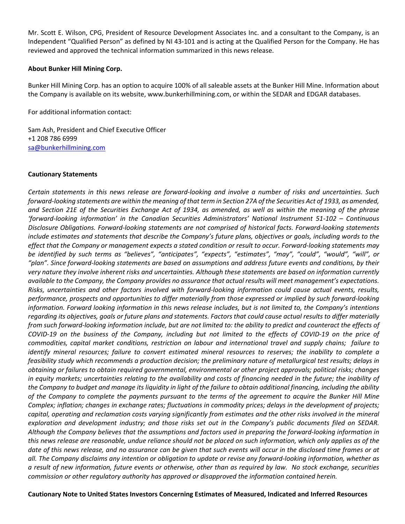Mr. Scott E. Wilson, CPG, President of Resource Development Associates Inc. and a consultant to the Company, is an Independent "Qualified Person" as defined by NI 43-101 and is acting at the Qualified Person for the Company. He has reviewed and approved the technical information summarized in this news release.

#### About Bunker Hill Mining Corp.

Bunker Hill Mining Corp. has an option to acquire 100% of all saleable assets at the Bunker Hill Mine. Information about the Company is available on its website, www.bunkerhillmining.com, or within the SEDAR and EDGAR databases.

For additional information contact:

Sam Ash, President and Chief Executive Officer +1 208 786 6999 sa@bunkerhillmining.com

## Cautionary Statements

Certain statements in this news release are forward-looking and involve a number of risks and uncertainties. Such forward-looking statements are within the meaning of that term in Section 27A of the Securities Act of 1933, as amended, and Section 21E of the Securities Exchange Act of 1934, as amended, as well as within the meaning of the phrase 'forward-looking information' in the Canadian Securities Administrators' National Instrument 51-102 – Continuous Disclosure Obligations. Forward-looking statements are not comprised of historical facts. Forward-looking statements include estimates and statements that describe the Company's future plans, objectives or goals, including words to the effect that the Company or management expects a stated condition or result to occur. Forward-looking statements may be identified by such terms as "believes", "anticipates", "expects", "estimates", "may", "could", "would", "will", or "plan". Since forward-looking statements are based on assumptions and address future events and conditions, by their very nature they involve inherent risks and uncertainties. Although these statements are based on information currently available to the Company, the Company provides no assurance that actual results will meet management's expectations. Risks, uncertainties and other factors involved with forward-looking information could cause actual events, results, performance, prospects and opportunities to differ materially from those expressed or implied by such forward-looking information. Forward looking information in this news release includes, but is not limited to, the Company's intentions regarding its objectives, goals or future plans and statements. Factors that could cause actual results to differ materially from such forward-looking information include, but are not limited to: the ability to predict and counteract the effects of COVID-19 on the business of the Company, including but not limited to the effects of COVID-19 on the price of commodities, capital market conditions, restriction on labour and international travel and supply chains; failure to identify mineral resources; failure to convert estimated mineral resources to reserves; the inability to complete a feasibility study which recommends a production decision; the preliminary nature of metallurgical test results; delays in obtaining or failures to obtain required governmental, environmental or other project approvals; political risks; changes in equity markets; uncertainties relating to the availability and costs of financing needed in the future; the inability of the Company to budget and manage its liquidity in light of the failure to obtain additional financing, including the ability of the Company to complete the payments pursuant to the terms of the agreement to acquire the Bunker Hill Mine Complex; inflation; changes in exchange rates; fluctuations in commodity prices; delays in the development of projects; capital, operating and reclamation costs varying significantly from estimates and the other risks involved in the mineral exploration and development industry; and those risks set out in the Company's public documents filed on SEDAR. Although the Company believes that the assumptions and factors used in preparing the forward-looking information in this news release are reasonable, undue reliance should not be placed on such information, which only applies as of the date of this news release, and no assurance can be given that such events will occur in the disclosed time frames or at all. The Company disclaims any intention or obligation to update or revise any forward-looking information, whether as a result of new information, future events or otherwise, other than as required by law. No stock exchange, securities commission or other regulatory authority has approved or disapproved the information contained herein.

Cautionary Note to United States Investors Concerning Estimates of Measured, Indicated and Inferred Resources